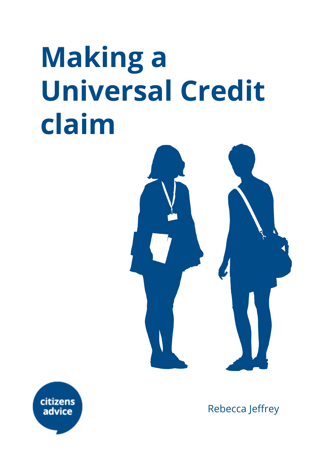# **Making a Universal Credit claim**





Rebecca Jeffrey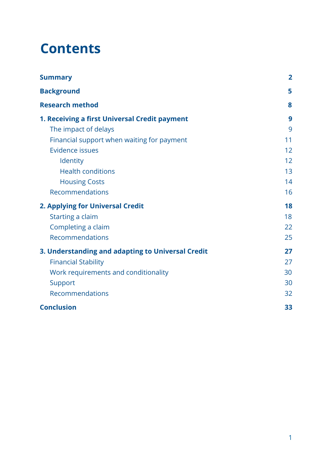## **Contents**

| <b>Summary</b>                                    | $\overline{2}$ |
|---------------------------------------------------|----------------|
| <b>Background</b>                                 | 5              |
| <b>Research method</b>                            | 8              |
| 1. Receiving a first Universal Credit payment     | 9              |
| The impact of delays                              | 9              |
| Financial support when waiting for payment        | 11             |
| Evidence issues                                   | 12             |
| Identity                                          | 12             |
| <b>Health conditions</b>                          | 13             |
| <b>Housing Costs</b>                              | 14             |
| Recommendations                                   | 16             |
| 2. Applying for Universal Credit                  | 18             |
| Starting a claim                                  | 18             |
| Completing a claim                                | 22             |
| Recommendations                                   | 25             |
| 3. Understanding and adapting to Universal Credit | 27             |
| <b>Financial Stability</b>                        | 27             |
| Work requirements and conditionality              | 30             |
| Support                                           | 30             |
| Recommendations                                   | 32             |
| <b>Conclusion</b>                                 | 33             |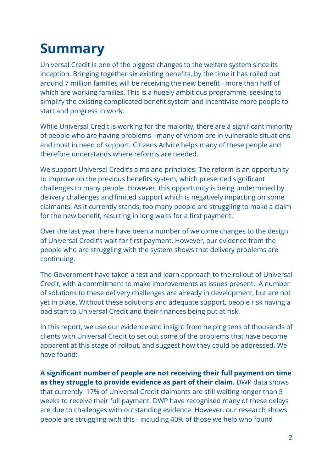## <span id="page-2-0"></span>**Summary**

Universal Credit is one of the biggest changes to the welfare system since its inception. Bringing together six existing benefits, by the time it has rolled out around 7 million families will be receiving the new benefit - more than half of which are working families. This is a hugely ambitious programme, seeking to simplify the existing complicated benefit system and incentivise more people to start and progress in work.

While Universal Credit is working for the majority, there are a significant minority of people who are having problems - many of whom are in vulnerable situations and most in need of support. Citizens Advice helps many of these people and therefore understands where reforms are needed.

We support Universal Credit's aims and principles. The reform is an opportunity to improve on the previous benefits system, which presented significant challenges to many people. However, this opportunity is being undermined by delivery challenges and limited support which is negatively impacting on some claimants. As it currently stands, too many people are struggling to make a claim for the new benefit, resulting in long waits for a first payment.

Over the last year there have been a number of welcome changes to the design of Universal Credit's wait for first payment. However, our evidence from the people who are struggling with the system shows that delivery problems are continuing.

The Government have taken a test and learn approach to the rollout of Universal Credit, with a commitment to make improvements as issues present. A number of solutions to these delivery challenges are already in development, but are not yet in place. Without these solutions and adequate support, people risk having a bad start to Universal Credit and their finances being put at risk.

In this report, we use our evidence and insight from helping tens of thousands of clients with Universal Credit to set out some of the problems that have become apparent at this stage of rollout, and suggest how they could be addressed. We have found:

**A significant number of people are not receiving their full payment on time as they struggle to provide evidence as part of their claim.** DWP data shows that currently 17% of Universal Credit claimants are still waiting longer than 5 weeks to receive their full payment. DWP have recognised many of these delays are due to challenges with outstanding evidence. However, our research shows people are struggling with this - including 40% of those we help who found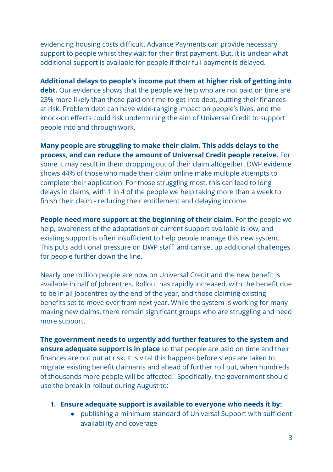evidencing housing costs difficult. Advance Payments can provide necessary support to people whilst they wait for their first payment. But, it is unclear what additional support is available for people if their full payment is delayed.

**Additional delays to people's income put them at higher risk of getting into debt.** Our evidence shows that the people we help who are not paid on time are 23% more likely than those paid on time to get into debt, putting their finances at risk. Problem debt can have wide-ranging impact on people's lives, and the knock-on effects could risk undermining the aim of Universal Credit to support people into and through work.

**Many people are struggling to make their claim. This adds delays to the process, and can reduce the amount of Universal Credit people receive.** For some it may result in them dropping out of their claim altogether. DWP evidence shows 44% of those who made their claim online make multiple attempts to complete their application. For those struggling most, this can lead to long delays in claims, with 1 in 4 of the people we help taking more than a week to finish their claim - reducing their entitlement and delaying income.

**People need more support at the beginning of their claim.** For the people we help, awareness of the adaptations or current support available is low, and existing support is often insufficient to help people manage this new system. This puts additional pressure on DWP staff, and can set up additional challenges for people further down the line.

Nearly one million people are now on Universal Credit and the new benefit is available in half of Jobcentres. Rollout has rapidly increased, with the benefit due to be in all Jobcentres by the end of the year, and those claiming existing benefits set to move over from next year. While the system is working for many making new claims, there remain significant groups who are struggling and need more support.

**The government needs to urgently add further features to the system and ensure adequate support is in place** so that people are paid on time and their finances are not put at risk. It is vital this happens before steps are taken to migrate existing benefit claimants and ahead of further roll out, when hundreds of thousands more people will be affected. Specifically, the government should use the break in rollout during August to:

- **1. Ensure adequate support is available to everyone who needs it by:**
	- publishing a minimum standard of Universal Support with sufficient availability and coverage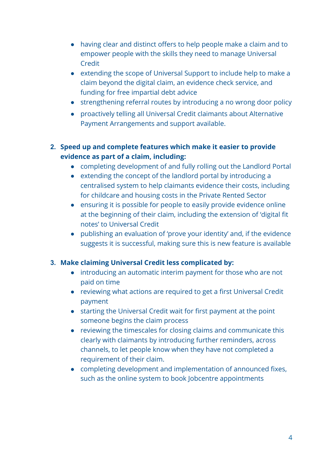- having clear and distinct offers to help people make a claim and to empower people with the skills they need to manage Universal Credit
- extending the scope of Universal Support to include help to make a claim beyond the digital claim, an evidence check service, and funding for free impartial debt advice
- strengthening referral routes by introducing a no wrong door policy
- proactively telling all Universal Credit claimants about Alternative Payment Arrangements and support available.

#### **2. Speed up and complete features which make it easier to provide evidence as part of a claim, including:**

- completing development of and fully rolling out the Landlord Portal
- extending the concept of the landlord portal by introducing a centralised system to help claimants evidence their costs, including for childcare and housing costs in the Private Rented Sector
- ensuring it is possible for people to easily provide evidence online at the beginning of their claim, including the extension of 'digital fit notes' to Universal Credit
- publishing an evaluation of 'prove your identity' and, if the evidence suggests it is successful, making sure this is new feature is available

#### **3. Make claiming Universal Credit less complicated by:**

- introducing an automatic interim payment for those who are not paid on time
- reviewing what actions are required to get a first Universal Credit payment
- starting the Universal Credit wait for first payment at the point someone begins the claim process
- reviewing the timescales for closing claims and communicate this clearly with claimants by introducing further reminders, across channels, to let people know when they have not completed a requirement of their claim.
- completing development and implementation of announced fixes, such as the online system to book Jobcentre appointments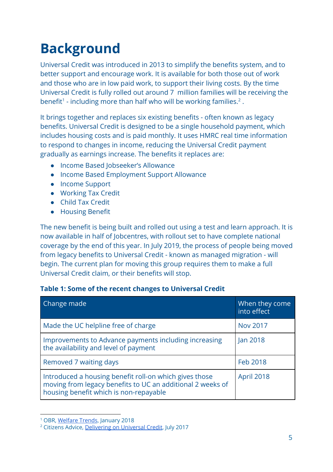## <span id="page-5-0"></span>**Background**

Universal Credit was introduced in 2013 to simplify the benefits system, and to better support and encourage work. It is available for both those out of work and those who are in low paid work, to support their living costs. By the time Universal Credit is fully rolled out around 7 million families will be receiving the benefit<sup>1</sup> - including more than half who will be working families.<sup>2</sup>.

It brings together and replaces six existing benefits - often known as legacy benefits. Universal Credit is designed to be a single household payment, which includes housing costs and is paid monthly. It uses HMRC real time information to respond to changes in income, reducing the Universal Credit payment gradually as earnings increase. The benefits it replaces are:

- Income Based Jobseeker's Allowance
- Income Based Employment Support Allowance
- Income Support
- Working Tax Credit
- Child Tax Credit
- Housing Benefit

The new benefit is being built and rolled out using a test and learn approach. It is now available in half of Jobcentres, with rollout set to have complete national coverage by the end of this year. In July 2019, the process of people being moved from legacy benefits to Universal Credit - known as managed migration - will begin. The current plan for moving this group requires them to make a full Universal Credit claim, or their benefits will stop.

#### **Table 1: Some of the recent changes to Universal Credit**

| Change made                                                                                                                                                    | When they come<br>into effect |
|----------------------------------------------------------------------------------------------------------------------------------------------------------------|-------------------------------|
| Made the UC helpline free of charge                                                                                                                            | <b>Nov 2017</b>               |
| Improvements to Advance payments including increasing<br>the availability and level of payment                                                                 | Jan 2018                      |
| Removed 7 waiting days                                                                                                                                         | Feb 2018                      |
| Introduced a housing benefit roll-on which gives those<br>moving from legacy benefits to UC an additional 2 weeks of<br>housing benefit which is non-repayable | April 2018                    |

<sup>1</sup> OBR, [Welfare](http://obr.uk/docs/dlm_uploads/WelfareTrends2018cm9562.pdf) Trends, January 2018

<sup>2</sup> Citizens Advice, [Delivering](https://www.citizensadvice.org.uk/Global/CitizensAdvice/welfare%20publications/Delivering%20on%20Universal%20Credit%20-%20report.pdf) on Universal Credit, July 2017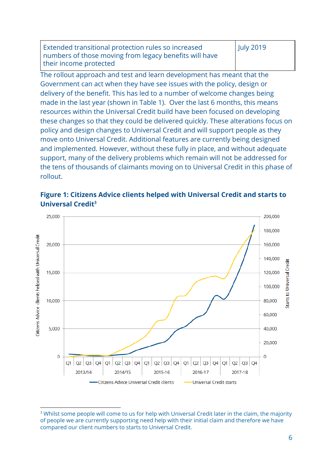Extended transitional protection rules so increased numbers of those moving from legacy benefits will have their income protected July 2019

The rollout approach and test and learn development has meant that the Government can act when they have see issues with the policy, design or delivery of the benefit. This has led to a number of welcome changes being made in the last year (shown in Table 1). Over the last 6 months, this means resources within the Universal Credit build have been focused on developing these changes so that they could be delivered quickly. These alterations focus on policy and design changes to Universal Credit and will support people as they move onto Universal Credit. Additional features are currently being designed and implemented. However, without these fully in place, and without adequate support, many of the delivery problems which remain will not be addressed for the tens of thousands of claimants moving on to Universal Credit in this phase of rollout.



**Figure 1: Citizens Advice clients helped with Universal Credit and starts to Universal Credit<sup>3</sup>**

<sup>&</sup>lt;sup>3</sup> Whilst some people will come to us for help with Universal Credit later in the claim, the majority of people we are currently supporting need help with their initial claim and therefore we have compared our client numbers to starts to Universal Credit.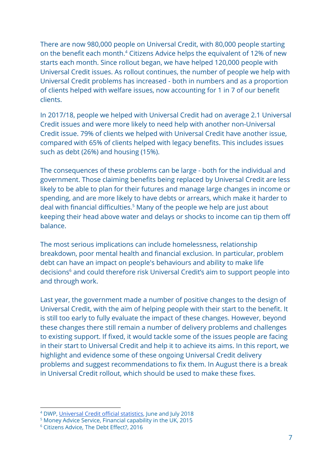There are now 980,000 people on Universal Credit, with 80,000 people starting on the benefit each month.<sup>4</sup> Citizens Advice helps the equivalent of 12% of new starts each month. Since rollout began, we have helped 120,000 people with Universal Credit issues. As rollout continues, the number of people we help with Universal Credit problems has increased - both in numbers and as a proportion of clients helped with welfare issues, now accounting for 1 in 7 of our benefit clients.

In 2017/18, people we helped with Universal Credit had on average 2.1 Universal Credit issues and were more likely to need help with another non-Universal Credit issue. 79% of clients we helped with Universal Credit have another issue, compared with 65% of clients helped with legacy benefits. This includes issues such as debt (26%) and housing (15%).

The consequences of these problems can be large - both for the individual and government. Those claiming benefits being replaced by Universal Credit are less likely to be able to plan for their futures and manage large changes in income or spending, and are more likely to have debts or arrears, which make it harder to deal with financial difficulties.<sup>5</sup> Many of the people we help are just about keeping their head above water and delays or shocks to income can tip them off balance.

The most serious implications can include homelessness, relationship breakdown, poor mental health and financial exclusion. In particular, problem debt can have an impact on people's behaviours and ability to make life decisions<sup>6</sup> and could therefore risk Universal Credit's aim to support people into and through work.

Last year, the government made a number of positive changes to the design of Universal Credit, with the aim of helping people with their start to the benefit. It is still too early to fully evaluate the impact of these changes. However, beyond these changes there still remain a number of delivery problems and challenges to existing support. If fixed, it would tackle some of the issues people are facing in their start to Universal Credit and help it to achieve its aims. In this report, we highlight and evidence some of these ongoing Universal Credit delivery problems and suggest recommendations to fix them. In August there is a break in Universal Credit rollout, which should be used to make these fixes.

<sup>4</sup> DWP, [Universal](https://www.gov.uk/government/collections/universal-credit-statistics) Credit official statistics, June and July 2018

<sup>5</sup> Money Advice Service, Financial capability in the UK, 2015

<sup>6</sup> Citizens Advice, The Debt Effect?, 2016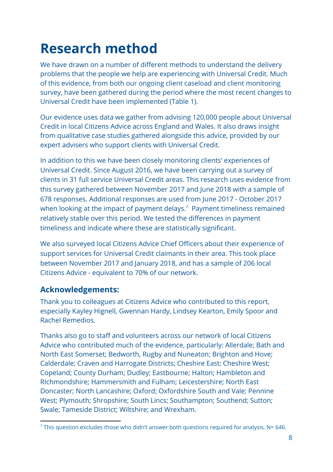## <span id="page-8-0"></span>**Research method**

We have drawn on a number of different methods to understand the delivery problems that the people we help are experiencing with Universal Credit. Much of this evidence, from both our ongoing client caseload and client monitoring survey, have been gathered during the period where the most recent changes to Universal Credit have been implemented (Table 1).

Our evidence uses data we gather from advising 120,000 people about Universal Credit in local Citizens Advice across England and Wales. It also draws insight from qualitative case studies gathered alongside this advice, provided by our expert advisers who support clients with Universal Credit.

In addition to this we have been closely monitoring clients' experiences of Universal Credit. Since August 2016, we have been carrying out a survey of clients in 31 full service Universal Credit areas. This research uses evidence from this survey gathered between November 2017 and June 2018 with a sample of 678 responses. Additional responses are used from June 2017 - October 2017 when looking at the impact of payment delays.<sup>7</sup> Payment timeliness remained relatively stable over this period. We tested the differences in payment timeliness and indicate where these are statistically significant.

We also surveyed local Citizens Advice Chief Officers about their experience of support services for Universal Credit claimants in their area. This took place between November 2017 and January 2018, and has a sample of 206 local Citizens Advice - equivalent to 70% of our network.

#### **Acknowledgements:**

Thank you to colleagues at Citizens Advice who contributed to this report, especially Kayley Hignell, Gwennan Hardy, Lindsey Kearton, Emily Spoor and Rachel Remedios.

Thanks also go to staff and volunteers across our network of local Citizens Advice who contributed much of the evidence, particularly: Allerdale; Bath and North East Somerset; Bedworth, Rugby and Nuneaton; Brighton and Hove; Calderdale; Craven and Harrogate Districts; Cheshire East; Cheshire West; Copeland; County Durham; Dudley; Eastbourne; Halton; Hambleton and RIchmondshire; Hammersmith and Fulham; Leicestershire; North East Doncaster; North Lancashire; Oxford; Oxfordshire South and Vale; Pennine West; Plymouth; Shropshire; South Lincs; Southampton; Southend; Sutton; Swale; Tameside District; Wiltshire; and Wrexham.

 $7$  This question excludes those who didn't answer both questions required for analysis. N= 646.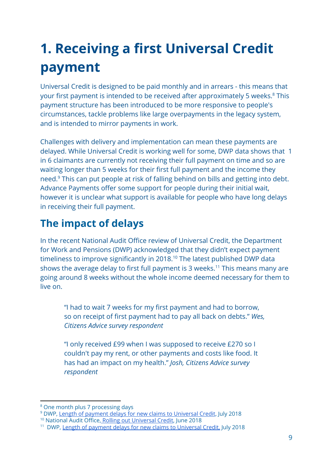## <span id="page-9-0"></span>**1. Receiving a first Universal Credit payment**

Universal Credit is designed to be paid monthly and in arrears - this means that your first payment is intended to be received after approximately 5 weeks.<sup>8</sup> This payment structure has been introduced to be more responsive to people's circumstances, tackle problems like large overpayments in the legacy system, and is intended to mirror payments in work.

Challenges with delivery and implementation can mean these payments are delayed. While Universal Credit is working well for some, DWP data shows that 1 in 6 claimants are currently not receiving their full payment on time and so are waiting longer than 5 weeks for their first full payment and the income they need.<sup>9</sup> This can put people at risk of falling behind on bills and getting into debt. Advance Payments offer some support for people during their initial wait, however it is unclear what support is available for people who have long delays in receiving their full payment.

## <span id="page-9-1"></span>**The impact of delays**

In the recent National Audit Office review of Universal Credit, the Department for Work and Pensions (DWP) acknowledged that they didn't expect payment timeliness to improve significantly in 2018.<sup>10</sup> The latest published DWP data shows the average delay to first full payment is 3 weeks.<sup>11</sup> This means many are going around 8 weeks without the whole income deemed necessary for them to live on.

"I had to wait 7 weeks for my first payment and had to borrow, so on receipt of first payment had to pay all back on debts." *Wes, Citizens Advice survey respondent*

"I only received £99 when I was supposed to receive £270 so I couldn't pay my rent, or other payments and costs like food. It has had an impact on my health." *Josh, Citizens Advice survey respondent*

<sup>8</sup> One month plus 7 processing days

<sup>&</sup>lt;sup>9</sup> DWP, Length of payment delays for new claims to [Universal](https://www.nao.org.uk/wp-content/uploads/2018/06/Rolling-out-Universal-Credit.pdf) Credit, July 2018

<sup>10</sup> National Audit Office, Rolling out [Universal](https://www.nao.org.uk/report/rolling-out-universal-credit/) Credit, June 2018

<sup>&</sup>lt;sup>11</sup> DWP, Length of payment delays for new claims to [Universal](https://www.nao.org.uk/wp-content/uploads/2018/06/Rolling-out-Universal-Credit.pdf) Credit, July 2018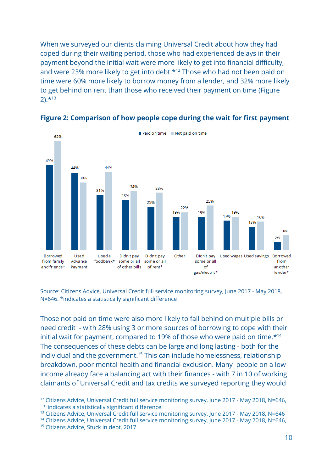When we surveyed our clients claiming Universal Credit about how they had coped during their waiting period, those who had experienced delays in their payment beyond the initial wait were more likely to get into financial difficulty, and were 23% more likely to get into debt.<sup>\*12</sup> Those who had not been paid on time were 60% more likely to borrow money from a lender, and 32% more likely to get behind on rent than those who received their payment on time (Figure  $2)$ .  $*13$ 



#### **Figure 2: Comparison of how people cope during the wait for first payment**

Source: Citizens Advice, Universal Credit full service monitoring survey, June 2017 - May 2018, N=646. \*indicates a statistically significant difference

Those not paid on time were also more likely to fall behind on multiple bills or need credit - with 28% using 3 or more sources of borrowing to cope with their initial wait for payment, compared to 19% of those who were paid on time.\*<sup>14</sup> The consequences of these debts can be large and long lasting - both for the individual and the government.<sup>15</sup> This can include homelessness, relationship breakdown, poor mental health and financial exclusion. Many people on a low income already face a balancing act with their finances - with 7 in 10 of working claimants of Universal Credit and tax credits we surveyed reporting they would

<sup>&</sup>lt;sup>12</sup> Citizens Advice, Universal Credit full service monitoring survey, June 2017 - May 2018, N=646, \* indicates a statistically significant difference.

<sup>&</sup>lt;sup>13</sup> Citizens Advice, Universal Credit full service monitoring survey, June 2017 - May 2018, N=646

<sup>&</sup>lt;sup>14</sup> Citizens Advice, Universal Credit full service monitoring survey, June 2017 - May 2018, N=646,

<sup>&</sup>lt;sup>15</sup> Citizens Advice, Stuck in debt, 2017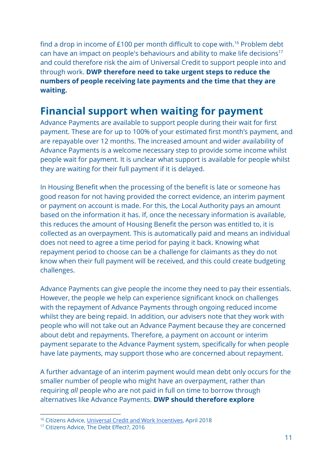find a drop in income of £100 per month difficult to cope with.<sup>16</sup> Problem debt can have an impact on people's behaviours and ability to make life decisions<sup>17</sup> and could therefore risk the aim of Universal Credit to support people into and through work. **DWP therefore need to take urgent steps to reduce the numbers of people receiving late payments and the time that they are waiting.**

### <span id="page-11-0"></span>**Financial support when waiting for payment**

Advance Payments are available to support people during their wait for first payment. These are for up to 100% of your estimated first month's payment, and are repayable over 12 months. The increased amount and wider availability of Advance Payments is a welcome necessary step to provide some income whilst people wait for payment. It is unclear what support is available for people whilst they are waiting for their full payment if it is delayed.

In Housing Benefit when the processing of the benefit is late or someone has good reason for not having provided the correct evidence, an interim payment or payment on account is made. For this, the Local Authority pays an amount based on the information it has. If, once the necessary information is available, this reduces the amount of Housing Benefit the person was entitled to, it is collected as an overpayment. This is automatically paid and means an individual does not need to agree a time period for paying it back. Knowing what repayment period to choose can be a challenge for claimants as they do not know when their full payment will be received, and this could create budgeting challenges.

Advance Payments can give people the income they need to pay their essentials. However, the people we help can experience significant knock on challenges with the repayment of Advance Payments through ongoing reduced income whilst they are being repaid. In addition, our advisers note that they work with people who will not take out an Advance Payment because they are concerned about debt and repayments. Therefore, a payment on account or interim payment separate to the Advance Payment system, specifically for when people have late payments, may support those who are concerned about repayment.

A further advantage of an interim payment would mean debt only occurs for the smaller number of people who might have an overpayment, rather than requiring *all* people who are not paid in full on time to borrow through alternatives like Advance Payments. **DWP should therefore explore**

<sup>16</sup> Citizens Advice, Universal Credit and [Work Incentives,](https://www.citizensadvice.org.uk/Global/CitizensAdvice/welfare%20publications/Universal%20Credit%20and%20Work%20Incentives.pdf) April 2018

<sup>&</sup>lt;sup>17</sup> Citizens Advice, The Debt Effect?, 2016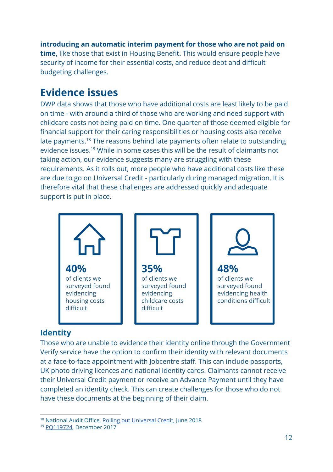**introducing an automatic interim payment for those who are not paid on time,** like those that exist in Housing Benefit. This would ensure people have security of income for their essential costs, and reduce debt and difficult budgeting challenges.

### <span id="page-12-0"></span>**Evidence issues**

DWP data shows that those who have additional costs are least likely to be paid on time - with around a third of those who are working and need support with childcare costs not being paid on time. One quarter of those deemed eligible for financial support for their caring responsibilities or housing costs also receive late payments.<sup>18</sup> The reasons behind late payments often relate to outstanding evidence issues.<sup>19</sup> While in some cases this will be the result of claimants not taking action, our evidence suggests many are struggling with these requirements. As it rolls out, more people who have additional costs like these are due to go on Universal Credit - particularly during managed migration. It is therefore vital that these challenges are addressed quickly and adequate support is put in place.



#### <span id="page-12-1"></span>**Identity**

Those who are unable to evidence their identity online through the Government Verify service have the option to confirm their identity with relevant documents at a face-to-face appointment with Jobcentre staff. This can include passports, UK photo driving licences and national identity cards. Claimants cannot receive their Universal Credit payment or receive an Advance Payment until they have completed an identity check. This can create challenges for those who do not have these documents at the beginning of their claim.

<sup>18</sup> National Audit Office, Rolling out [Universal](https://www.nao.org.uk/report/rolling-out-universal-credit/) Credit, June 2018

<sup>19</sup> [PQ119724,](https://www.parliament.uk/business/publications/written-questions-answers-statements/written-question/Commons/2017-12-14/119724/) December 2017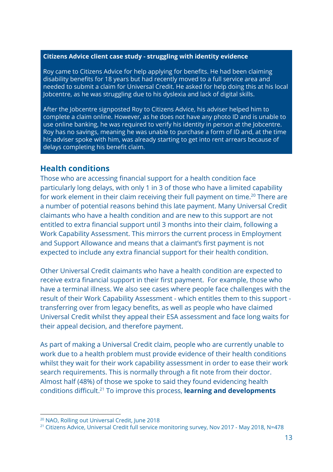#### **Citizens Advice client case study - struggling with identity evidence**

Roy came to Citizens Advice for help applying for benefits. He had been claiming disability benefits for 18 years but had recently moved to a full service area and needed to submit a claim for Universal Credit. He asked for help doing this at his local Jobcentre, as he was struggling due to his dyslexia and lack of digital skills.

After the Jobcentre signposted Roy to Citizens Advice, his adviser helped him to complete a claim online. However, as he does not have any photo ID and is unable to use online banking, he was required to verify his identity in person at the Jobcentre. Roy has no savings, meaning he was unable to purchase a form of ID and, at the time his adviser spoke with him, was already starting to get into rent arrears because of delays completing his benefit claim.

#### <span id="page-13-0"></span>**Health conditions**

Those who are accessing financial support for a health condition face particularly long delays, with only 1 in 3 of those who have a limited capability for work element in their claim receiving their full payment on time.<sup>20</sup> There are a number of potential reasons behind this late payment. Many Universal Credit claimants who have a health condition and are new to this support are not entitled to extra financial support until 3 months into their claim, following a Work Capability Assessment. This mirrors the current process in Employment and Support Allowance and means that a claimant's first payment is not expected to include any extra financial support for their health condition.

Other Universal Credit claimants who have a health condition are expected to receive extra financial support in their first payment. For example, those who have a terminal illness. We also see cases where people face challenges with the result of their Work Capability Assessment - which entitles them to this support transferring over from legacy benefits, as well as people who have claimed Universal Credit whilst they appeal their ESA assessment and face long waits for their appeal decision, and therefore payment.

As part of making a Universal Credit claim, people who are currently unable to work due to a health problem must provide evidence of their health conditions whilst they wait for their work capability assessment in order to ease their work search requirements. This is normally through a fit note from their doctor. Almost half (48%) of those we spoke to said they found evidencing health conditions difficult.<sup>21</sup> To improve this process, **learning and developments** 

<sup>20</sup> NAO, Rolling out Universal Credit, June 2018

<sup>&</sup>lt;sup>21</sup> Citizens Advice, Universal Credit full service monitoring survey, Nov 2017 - May 2018, N=478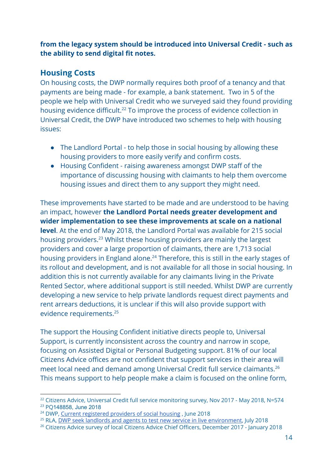**from the legacy system should be introduced into Universal Credit - such as the ability to send digital fit notes.**

#### <span id="page-14-0"></span>**Housing Costs**

On housing costs, the DWP normally requires both proof of a tenancy and that payments are being made - for example, a bank statement. Two in 5 of the people we help with Universal Credit who we surveyed said they found providing housing evidence difficult.<sup>22</sup> To improve the process of evidence collection in Universal Credit, the DWP have introduced two schemes to help with housing issues:

- The Landlord Portal to help those in social housing by allowing these housing providers to more easily verify and confirm costs.
- Housing Confident raising awareness amongst DWP staff of the importance of discussing housing with claimants to help them overcome housing issues and direct them to any support they might need.

These improvements have started to be made and are understood to be having an impact, however **the Landlord Portal needs greater development and wider implementation to see these improvements at scale on a national level.** At the end of May 2018, the Landlord Portal was available for 215 social housing providers.<sup>23</sup> Whilst these housing providers are mainly the largest providers and cover a large proportion of claimants, there are 1,713 social housing providers in England alone.<sup>24</sup> Therefore, this is still in the early stages of its rollout and development, and is not available for all those in social housing. In addition this is not currently available for any claimants living in the Private Rented Sector, where additional support is still needed. Whilst DWP are currently developing a new service to help private landlords request direct payments and rent arrears deductions, it is unclear if this will also provide support with evidence requirements.<sup>25</sup>

The support the Housing Confident initiative directs people to, Universal Support, is currently inconsistent across the country and narrow in scope, focusing on Assisted Digital or Personal Budgeting support. 81% of our local Citizens Advice offices are not confident that support services in their area will meet local need and demand among Universal Credit full service claimants.<sup>26</sup> This means support to help people make a claim is focused on the online form,

<sup>&</sup>lt;sup>22</sup> Citizens Advice, Universal Credit full service monitoring survey, Nov 2017 - May 2018, N=574 <sup>23</sup> PQ148858, June 2018

<sup>&</sup>lt;sup>24</sup> DWP, Current [registered](https://www.gov.uk/government/publications/current-registered-providers-of-social-housing) providers of social housing, June 2018

<sup>&</sup>lt;sup>25</sup> RLA, DWP [seek landlords](https://news.rla.org.uk/dwp-seek-landlords-and-agents-to-test-new-service-in-live-environment/) and agents to test new service in live environment, July 2018

<sup>&</sup>lt;sup>26</sup> Citizens Advice survey of local Citizens Advice Chief Officers, December 2017 - January 2018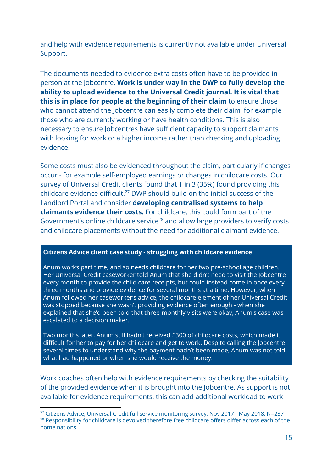and help with evidence requirements is currently not available under Universal Support.

The documents needed to evidence extra costs often have to be provided in person at the Jobcentre. **Work is under way in the DWP to fully develop the ability to upload evidence to the Universal Credit journal. It is vital that this is in place for people at the beginning of their claim** to ensure those who cannot attend the Jobcentre can easily complete their claim, for example those who are currently working or have health conditions. This is also necessary to ensure Jobcentres have sufficient capacity to support claimants with looking for work or a higher income rather than checking and uploading evidence.

Some costs must also be evidenced throughout the claim, particularly if changes occur - for example self-employed earnings or changes in childcare costs. Our survey of Universal Credit clients found that 1 in 3 (35%) found providing this childcare evidence difficult.<sup>27</sup> DWP should build on the initial success of the Landlord Portal and consider **developing centralised systems to help claimants evidence their costs.** For childcare, this could form part of the Government's online childcare service<sup>28</sup> and allow large providers to verify costs and childcare placements without the need for additional claimant evidence.

#### **Citizens Advice client case study - struggling with childcare evidence**

Anum works part time, and so needs childcare for her two pre-school age children. Her Universal Credit caseworker told Anum that she didn't need to visit the Jobcentre every month to provide the child care receipts, but could instead come in once every three months and provide evidence for several months at a time. However, when Anum followed her caseworker's advice, the childcare element of her Universal Credit was stopped because she wasn't providing evidence often enough - when she explained that she'd been told that three-monthly visits were okay, Anum's case was escalated to a decision maker.

Two months later, Anum still hadn't received £300 of childcare costs, which made it difficult for her to pay for her childcare and get to work. Despite calling the Jobcentre several times to understand why the payment hadn't been made, Anum was not told what had happened or when she would receive the money.

Work coaches often help with evidence requirements by checking the suitability of the provided evidence when it is brought into the Jobcentre. As support is not available for evidence requirements, this can add additional workload to work

<sup>&</sup>lt;sup>27</sup> Citizens Advice, Universal Credit full service monitoring survey, Nov 2017 - May 2018, N=237 <sup>28</sup> Responsibility for childcare is devolved therefore free childcare offers differ across each of the home nations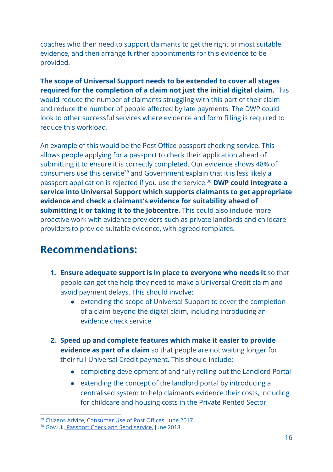coaches who then need to support claimants to get the right or most suitable evidence, and then arrange further appointments for this evidence to be provided.

**The scope of Universal Support needs to be extended to cover all stages required for the completion of a claim not just the initial digital claim.** This would reduce the number of claimants struggling with this part of their claim and reduce the number of people affected by late payments. The DWP could look to other successful services where evidence and form filling is required to reduce this workload.

An example of this would be the Post Office passport checking service. This allows people applying for a passport to check their application ahead of submitting it to ensure it is correctly completed. Our evidence shows 48% of consumers use this service<sup>29</sup> and Government explain that it is less likely a passport application is rejected if you use the service.<sup>30</sup> DWP could integrate a **service into Universal Support which supports claimants to get appropriate evidence and check a claimant's evidence for suitability ahead of submitting it or taking it to the Jobcentre.** This could also include more proactive work with evidence providers such as private landlords and childcare providers to provide suitable evidence, with agreed templates.

### <span id="page-16-0"></span>**Recommendations:**

- **1. Ensure adequate support is in place to everyone who needs it** so that people can get the help they need to make a Universal Credit claim and avoid payment delays. This should involve:
	- **●** extending the scope of Universal Support to cover the completion of a claim beyond the digital claim, including introducing an evidence check service
- **2. Speed up and complete features which make it easier to provide evidence as part of a claim** so that people are not waiting longer for their full Universal Credit payment. This should include:
	- **●** completing development of and fully rolling out the Landlord Portal
	- extending the concept of the landlord portal by introducing a centralised system to help claimants evidence their costs, including for childcare and housing costs in the Private Rented Sector

<sup>&</sup>lt;sup>29</sup> Citizens Advice, [Consumer](https://www.citizensadvice.org.uk/Global/CitizensAdvice/campaigns/Post/Consumer%20Use%20of%20Post%20Offices%20Summary%20Report.pdf) Use of Post Offices. June 2017

<sup>30</sup> Gov.uk, Passport [Check and](https://www.gov.uk/how-the-post-office-check-and-send-service-works) Send service, June 2018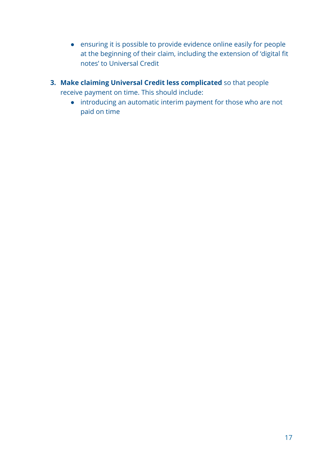- ensuring it is possible to provide evidence online easily for people at the beginning of their claim, including the extension of 'digital fit notes' to Universal Credit
- **3. Make claiming Universal Credit less complicated** so that people receive payment on time. This should include:
	- introducing an automatic interim payment for those who are not paid on time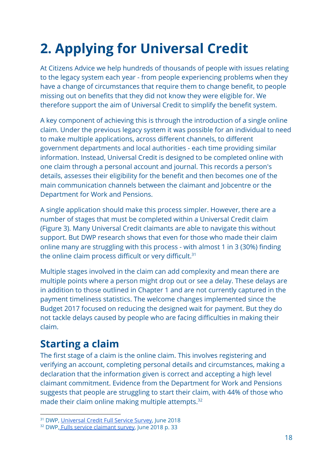## <span id="page-18-0"></span>**2. Applying for Universal Credit**

At Citizens Advice we help hundreds of thousands of people with issues relating to the legacy system each year - from people experiencing problems when they have a change of circumstances that require them to change benefit, to people missing out on benefits that they did not know they were eligible for. We therefore support the aim of Universal Credit to simplify the benefit system.

A key component of achieving this is through the introduction of a single online claim. Under the previous legacy system it was possible for an individual to need to make multiple applications, across different channels, to different government departments and local authorities - each time providing similar information. Instead, Universal Credit is designed to be completed online with one claim through a personal account and journal. This records a person's details, assesses their eligibility for the benefit and then becomes one of the main communication channels between the claimant and Jobcentre or the Department for Work and Pensions.

A single application should make this process simpler. However, there are a number of stages that must be completed within a Universal Credit claim (Figure 3). Many Universal Credit claimants are able to navigate this without support. But DWP research shows that even for those who made their claim online many are struggling with this process - with almost 1 in 3 (30%) finding the online claim process difficult or very difficult.<sup>31</sup>

Multiple stages involved in the claim can add complexity and mean there are multiple points where a person might drop out or see a delay. These delays are in addition to those outlined in Chapter 1 and are not currently captured in the payment timeliness statistics. The welcome changes implemented since the Budget 2017 focused on reducing the designed wait for payment. But they do not tackle delays caused by people who are facing difficulties in making their claim.

### <span id="page-18-1"></span>**Starting a claim**

The first stage of a claim is the online claim. This involves registering and verifying an account, completing personal details and circumstances, making a declaration that the information given is correct and accepting a high level claimant commitment. Evidence from the Department for Work and Pensions suggests that people are struggling to start their claim, with 44% of those who made their claim online making multiple attempts.<sup>32</sup>

<sup>&</sup>lt;sup>31</sup> DWP, [Universal](https://assets.publishing.service.gov.uk/government/uploads/system/uploads/attachment_data/file/714842/universal-credit-full-service-claimant-survey.pdf) Credit Full Service Survey, June 2018

<sup>&</sup>lt;sup>32</sup> DWP, Fulls service [claimant](https://assets.publishing.service.gov.uk/government/uploads/system/uploads/attachment_data/file/714842/universal-credit-full-service-claimant-survey.pdf) survey, June 2018 p. 33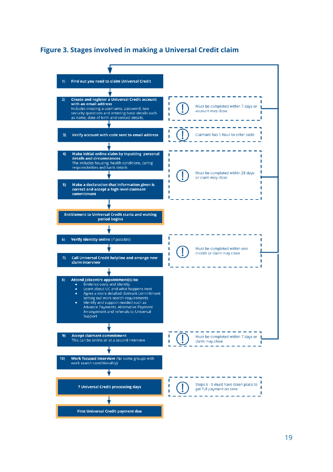#### **Figure 3. Stages involved in making a Universal Credit claim**

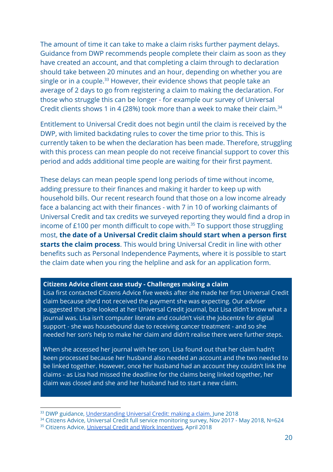The amount of time it can take to make a claim risks further payment delays. Guidance from DWP recommends people complete their claim as soon as they have created an account, and that completing a claim through to declaration should take between 20 minutes and an hour, depending on whether you are single or in a couple.<sup>33</sup> However, their evidence shows that people take an average of 2 days to go from registering a claim to making the declaration. For those who struggle this can be longer - for example our survey of Universal Credit clients shows 1 in 4 (28%) took more than a week to make their claim.<sup>34</sup>

Entitlement to Universal Credit does not begin until the claim is received by the DWP, with limited backdating rules to cover the time prior to this. This is currently taken to be when the declaration has been made. Therefore, struggling with this process can mean people do not receive financial support to cover this period and adds additional time people are waiting for their first payment.

These delays can mean people spend long periods of time without income, adding pressure to their finances and making it harder to keep up with household bills. Our recent research found that those on a low income already face a balancing act with their finances - with 7 in 10 of working claimants of Universal Credit and tax credits we surveyed reporting they would find a drop in income of  $£100$  per month difficult to cope with.<sup>35</sup> To support those struggling most, **the date of a Universal Credit claim should start when a person first starts the claim process** . This would bring Universal Credit in line with other benefits such as Personal Independence Payments, where it is possible to start the claim date when you ring the helpline and ask for an application form.

#### **Citizens Advice client case study - Challenges making a claim**

Lisa first contacted Citizens Advice five weeks after she made her first Universal Credit claim because she'd not received the payment she was expecting. Our adviser suggested that she looked at her Universal Credit journal, but Lisa didn't know what a journal was. Lisa isn't computer literate and couldn't visit the Jobcentre for digital support - she was housebound due to receiving cancer treatment - and so she needed her son's help to make her claim and didn't realise there were further steps.

When she accessed her journal with her son, Lisa found out that her claim hadn't been processed because her husband also needed an account and the two needed to be linked together. However, once her husband had an account they couldn't link the claims - as Lisa had missed the deadline for the claims being linked together, her claim was closed and she and her husband had to start a new claim.

<sup>&</sup>lt;sup>33</sup> DWP guidance, [Understanding](https://www.understandinguniversalcredit.gov.uk/making-a-claim/how-to-claim/) Universal Credit: making a claim. June 2018

<sup>&</sup>lt;sup>34</sup> Citizens Advice, Universal Credit full service monitoring survey, Nov 2017 - May 2018, N=624

<sup>&</sup>lt;sup>35</sup> Citizens Advice, Universal Credit and [Work Incentives,](https://www.citizensadvice.org.uk/Global/CitizensAdvice/welfare%20publications/Universal%20Credit%20and%20Work%20Incentives.pdf) April 2018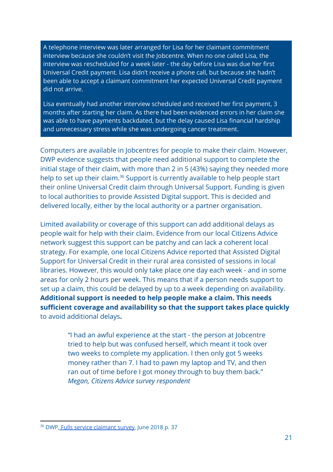A telephone interview was later arranged for Lisa for her claimant commitment interview because she couldn't visit the Jobcentre. When no one called Lisa, the interview was rescheduled for a week later - the day before Lisa was due her first Universal Credit payment. Lisa didn't receive a phone call, but because she hadn't been able to accept a claimant commitment her expected Universal Credit payment did not arrive.

Lisa eventually had another interview scheduled and received her first payment, 3 months after starting her claim. As there had been evidenced errors in her claim she was able to have payments backdated, but the delay caused Lisa financial hardship and unnecessary stress while she was undergoing cancer treatment.

Computers are available in Jobcentres for people to make their claim. However, DWP evidence suggests that people need additional support to complete the initial stage of their claim, with more than 2 in 5 (43%) saying they needed more help to set up their claim.<sup>36</sup> Support is currently available to help people start their online Universal Credit claim through Universal Support. Funding is given to local authorities to provide Assisted Digital support. This is decided and delivered locally, either by the local authority or a partner organisation.

Limited availability or coverage of this support can add additional delays as people wait for help with their claim. Evidence from our local Citizens Advice network suggest this support can be patchy and can lack a coherent local strategy. For example, one local Citizens Advice reported that Assisted Digital Support for Universal Credit in their rural area consisted of sessions in local libraries. However, this would only take place one day each week - and in some areas for only 2 hours per week. This means that if a person needs support to set up a claim, this could be delayed by up to a week depending on availability. **Additional support is needed to help people make a claim. This needs sufficient coverage and availability so that the support takes place quickly** to avoid additional delays **.**

> "I had an awful experience at the start - the person at Jobcentre tried to help but was confused herself, which meant it took over two weeks to complete my application. I then only got 5 weeks money rather than 7. I had to pawn my laptop and TV, and then ran out of time before I got money through to buy them back." *Megan, Citizens Advice survey respondent*

<sup>&</sup>lt;sup>36</sup> DWP, Fulls service [claimant](https://assets.publishing.service.gov.uk/government/uploads/system/uploads/attachment_data/file/714842/universal-credit-full-service-claimant-survey.pdf) survey, June 2018 p. 37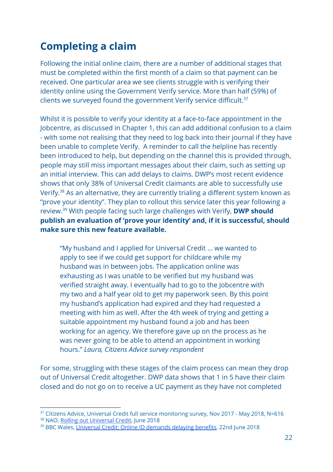## <span id="page-22-0"></span>**Completing a claim**

Following the initial online claim, there are a number of additional stages that must be completed within the first month of a claim so that payment can be received. One particular area we see clients struggle with is verifying their identity online using the Government Verify service. More than half (59%) of clients we surveyed found the government Verify service difficult.<sup>37</sup>

Whilst it is possible to verify your identity at a face-to-face appointment in the Jobcentre, as discussed in Chapter 1, this can add additional confusion to a claim - with some not realising that they need to log back into their journal if they have been unable to complete Verify. A reminder to call the helpline has recently been introduced to help, but depending on the channel this is provided through, people may still miss important messages about their claim, such as setting up an initial interview. This can add delays to claims. DWP's most recent evidence shows that only 38% of Universal Credit claimants are able to successfully use Verify.<sup>38</sup> As an alternative, they are currently trialing a different system known as "prove your identity". They plan to rollout this service later this year following a review.<sup>39</sup> With people facing such large challenges with Verify, **DWP should publish an evaluation of 'prove your identity' and, if it is successful, should make sure this new feature available.**

"My husband and I applied for Universal Credit ... we wanted to apply to see if we could get support for childcare while my husband was in between jobs. The application online was exhausting as I was unable to be verified but my husband was verified straight away. I eventually had to go to the Jobcentre with my two and a half year old to get my paperwork seen. By this point my husband's application had expired and they had requested a meeting with him as well. After the 4th week of trying and getting a suitable appointment my husband found a job and has been working for an agency. We therefore gave up on the process as he was never going to be able to attend an appointment in working hours." *Laura, Citizens Advice survey respondent*

For some, struggling with these stages of the claim process can mean they drop out of Universal Credit altogether. DWP data shows that 1 in 5 have their claim closed and do not go on to receive a UC payment as they have not completed

<sup>&</sup>lt;sup>37</sup> Citizens Advice, Universal Credit full service monitoring survey, Nov 2017 - May 2018, N=616 38 NAO, Rolling out [Universal](https://www.nao.org.uk/wp-content/uploads/2018/06/Rolling-out-Universal-Credit.pdf) Credit, June 2018

<sup>39</sup> BBC Wales, Universal Credit: Online ID [demands](https://www.bbc.co.uk/news/uk-wales-44565680) delaying benefits, 22nd June 2018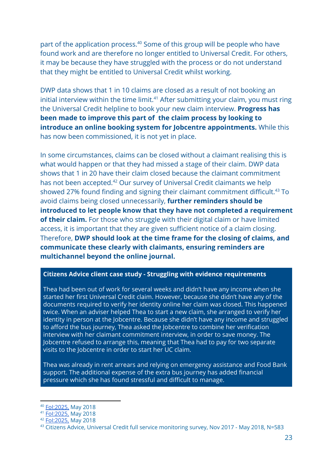part of the application process.<sup>40</sup> Some of this group will be people who have found work and are therefore no longer entitled to Universal Credit. For others, it may be because they have struggled with the process or do not understand that they might be entitled to Universal Credit whilst working.

DWP data shows that 1 in 10 claims are closed as a result of not booking an initial interview within the time limit. $41$  After submitting your claim, you must ring the Universal Credit helpline to book your new claim interview. **Progress has been made to improve this part of the claim process by looking to introduce an online booking system for Jobcentre appointments.** While this has now been commissioned, it is not yet in place.

In some circumstances, claims can be closed without a claimant realising this is what would happen or that they had missed a stage of their claim. DWP data shows that 1 in 20 have their claim closed because the claimant commitment has not been accepted.<sup>42</sup> Our survey of Universal Credit claimants we help showed 27% found finding and signing their claimant commitment difficult.<sup>43</sup> To avoid claims being closed unnecessarily, **further reminders should be introduced to let people know that they have not completed a requirement of their claim.** For those who struggle with their digital claim or have limited access, it is important that they are given sufficient notice of a claim closing. Therefore, **DWP should look at the time frame for the closing of claims, and communicate these clearly with claimants, ensuring reminders are multichannel beyond the online journal.**

#### **Citizens Advice client case study - Struggling with evidence requirements**

Thea had been out of work for several weeks and didn't have any income when she started her first Universal Credit claim. However, because she didn't have any of the documents required to verify her identity online her claim was closed. This happened twice. When an adviser helped Thea to start a new claim, she arranged to verify her identity in person at the Jobcentre. Because she didn't have any income and struggled to afford the bus journey, Thea asked the Jobcentre to combine her verification interview with her claimant commitment interview, in order to save money. The Jobcentre refused to arrange this, meaning that Thea had to pay for two separate visits to the Jobcentre in order to start her UC claim.

Thea was already in rent arrears and relying on emergency assistance and Food Bank support. The additional expense of the extra bus journey has added financial pressure which she has found stressful and difficult to manage.

<sup>40</sup> Fol: 2025, May 2018

<sup>41</sup> [FoI:2025,](https://www.whatdotheyknow.com/request/479176/response/1153572/attach/2/FoI%202025%20reply.pdf?cookie_passthrough=1) May 2018

<sup>42</sup> [FoI:2025,](https://www.whatdotheyknow.com/request/479176/response/1153572/attach/2/FoI%202025%20reply.pdf?cookie_passthrough=1) May 2018

<sup>43</sup> Citizens Advice, Universal Credit full service monitoring survey, Nov 2017 - May 2018, N=583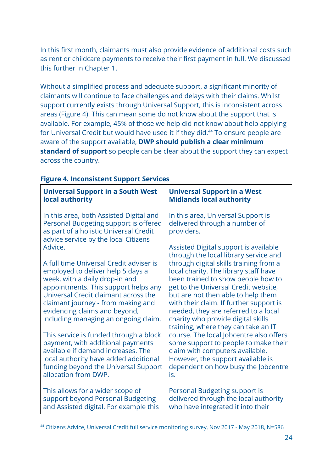In this first month, claimants must also provide evidence of additional costs such as rent or childcare payments to receive their first payment in full. We discussed this further in Chapter 1.

Without a simplified process and adequate support, a significant minority of claimants will continue to face challenges and delays with their claims. Whilst support currently exists through Universal Support, this is inconsistent across areas (Figure 4). This can mean some do not know about the support that is available. For example, 45% of those we help did not know about help applying for Universal Credit but would have used it if they did.<sup>44</sup> To ensure people are aware of the support available, **DWP should publish a clear minimum standard of support** so people can be clear about the support they can expect across the country.

| <b>Universal Support in a South West</b>                                                                                                                                                                                                                                                                                                                                                                                                                                                                                                               | <b>Universal Support in a West</b>                                                                                                                                                                                                                                                                                                                                                                                                                                                                                                                                                                                                                             |
|--------------------------------------------------------------------------------------------------------------------------------------------------------------------------------------------------------------------------------------------------------------------------------------------------------------------------------------------------------------------------------------------------------------------------------------------------------------------------------------------------------------------------------------------------------|----------------------------------------------------------------------------------------------------------------------------------------------------------------------------------------------------------------------------------------------------------------------------------------------------------------------------------------------------------------------------------------------------------------------------------------------------------------------------------------------------------------------------------------------------------------------------------------------------------------------------------------------------------------|
| local authority                                                                                                                                                                                                                                                                                                                                                                                                                                                                                                                                        | <b>Midlands local authority</b>                                                                                                                                                                                                                                                                                                                                                                                                                                                                                                                                                                                                                                |
| In this area, both Assisted Digital and<br>Personal Budgeting support is offered<br>as part of a holistic Universal Credit<br>advice service by the local Citizens                                                                                                                                                                                                                                                                                                                                                                                     | In this area, Universal Support is<br>delivered through a number of<br>providers.                                                                                                                                                                                                                                                                                                                                                                                                                                                                                                                                                                              |
| Advice.<br>A full time Universal Credit adviser is<br>employed to deliver help 5 days a<br>week, with a daily drop-in and<br>appointments. This support helps any<br>Universal Credit claimant across the<br>claimant journey - from making and<br>evidencing claims and beyond,<br>including managing an ongoing claim.<br>This service is funded through a block<br>payment, with additional payments<br>available if demand increases. The<br>local authority have added additional<br>funding beyond the Universal Support<br>allocation from DWP. | Assisted Digital support is available<br>through the local library service and<br>through digital skills training from a<br>local charity. The library staff have<br>been trained to show people how to<br>get to the Universal Credit website,<br>but are not then able to help them<br>with their claim. If further support is<br>needed, they are referred to a local<br>charity who provide digital skills<br>training, where they can take an IT<br>course. The local Jobcentre also offers<br>some support to people to make their<br>claim with computers available.<br>However, the support available is<br>dependent on how busy the Jobcentre<br>is. |
| This allows for a wider scope of                                                                                                                                                                                                                                                                                                                                                                                                                                                                                                                       | Personal Budgeting support is                                                                                                                                                                                                                                                                                                                                                                                                                                                                                                                                                                                                                                  |
| support beyond Personal Budgeting                                                                                                                                                                                                                                                                                                                                                                                                                                                                                                                      | delivered through the local authority                                                                                                                                                                                                                                                                                                                                                                                                                                                                                                                                                                                                                          |
| and Assisted digital. For example this                                                                                                                                                                                                                                                                                                                                                                                                                                                                                                                 | who have integrated it into their                                                                                                                                                                                                                                                                                                                                                                                                                                                                                                                                                                                                                              |

#### **Figure 4. Inconsistent Support Services**

<sup>44</sup> Citizens Advice, Universal Credit full service monitoring survey, Nov 2017 - May 2018, N=586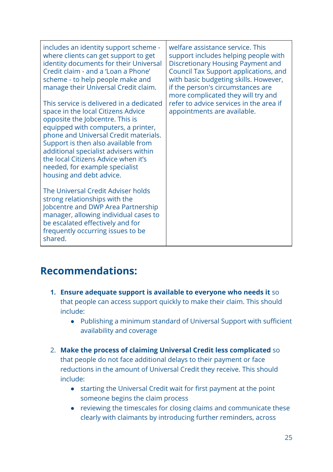includes an identity support scheme where clients can get support to get identity documents for their Universal Credit claim - and a 'Loan a Phone' scheme - to help people make and manage their Universal Credit claim.

This service is delivered in a dedicated space in the local Citizens Advice opposite the Jobcentre. This is equipped with computers, a printer, phone and Universal Credit materials. Support is then also available from additional specialist advisers within the local Citizens Advice when it's needed, for example specialist housing and debt advice.

The Universal Credit Adviser holds strong relationships with the Jobcentre and DWP Area Partnership manager, allowing individual cases to be escalated effectively and for frequently occurring issues to be shared.

welfare assistance service. This support includes helping people with Discretionary Housing Payment and Council Tax Support applications, and with basic budgeting skills. However, if the person's circumstances are more complicated they will try and refer to advice services in the area if appointments are available.

### <span id="page-25-0"></span>**Recommendations:**

- **1. Ensure adequate support is available to everyone who needs it** so that people can access support quickly to make their claim. This should include:
	- Publishing a minimum standard of Universal Support with sufficient availability and coverage
- 2. **Make the process of claiming Universal Credit less complicated** so that people do not face additional delays to their payment or face reductions in the amount of Universal Credit they receive. This should include:
	- starting the Universal Credit wait for first payment at the point someone begins the claim process
	- reviewing the timescales for closing claims and communicate these clearly with claimants by introducing further reminders, across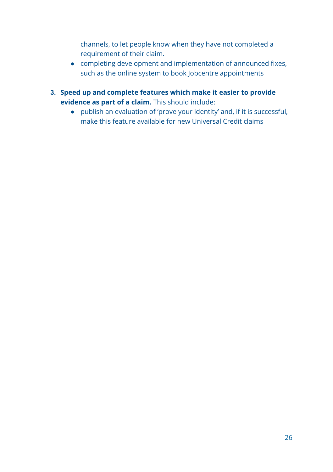channels, to let people know when they have not completed a requirement of their claim.

- completing development and implementation of announced fixes, such as the online system to book Jobcentre appointments
- **3. Speed up and complete features which make it easier to provide evidence as part of a claim.** This should include:
	- **●** publish an evaluation of 'prove your identity' and, if it is successful, make this feature available for new Universal Credit claims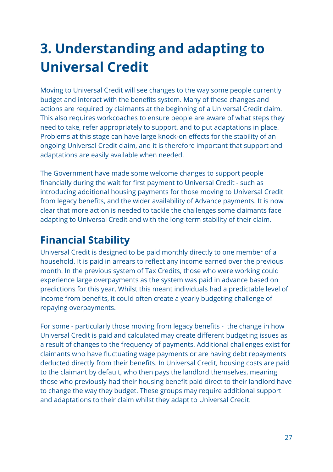## <span id="page-27-0"></span>**3. Understanding and adapting to Universal Credit**

Moving to Universal Credit will see changes to the way some people currently budget and interact with the benefits system. Many of these changes and actions are required by claimants at the beginning of a Universal Credit claim. This also requires workcoaches to ensure people are aware of what steps they need to take, refer appropriately to support, and to put adaptations in place. Problems at this stage can have large knock-on effects for the stability of an ongoing Universal Credit claim, and it is therefore important that support and adaptations are easily available when needed.

The Government have made some welcome changes to support people financially during the wait for first payment to Universal Credit - such as introducing additional housing payments for those moving to Universal Credit from legacy benefits, and the wider availability of Advance payments. It is now clear that more action is needed to tackle the challenges some claimants face adapting to Universal Credit and with the long-term stability of their claim.

## <span id="page-27-1"></span>**Financial Stability**

Universal Credit is designed to be paid monthly directly to one member of a household. It is paid in arrears to reflect any income earned over the previous month. In the previous system of Tax Credits, those who were working could experience large overpayments as the system was paid in advance based on predictions for this year. Whilst this meant individuals had a predictable level of income from benefits, it could often create a yearly budgeting challenge of repaying overpayments.

For some - particularly those moving from legacy benefits - the change in how Universal Credit is paid and calculated may create different budgeting issues as a result of changes to the frequency of payments. Additional challenges exist for claimants who have fluctuating wage payments or are having debt repayments deducted directly from their benefits. In Universal Credit, housing costs are paid to the claimant by default, who then pays the landlord themselves, meaning those who previously had their housing benefit paid direct to their landlord have to change the way they budget. These groups may require additional support and adaptations to their claim whilst they adapt to Universal Credit.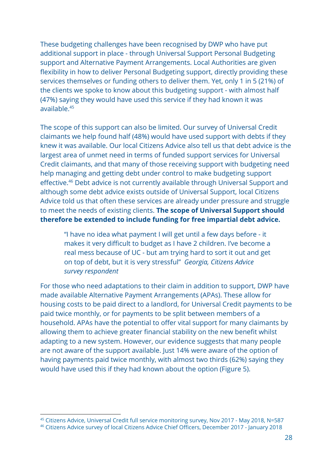These budgeting challenges have been recognised by DWP who have put additional support in place - through Universal Support Personal Budgeting support and Alternative Payment Arrangements. Local Authorities are given flexibility in how to deliver Personal Budgeting support, directly providing these services themselves or funding others to deliver them. Yet, only 1 in 5 (21%) of the clients we spoke to know about this budgeting support - with almost half (47%) saying they would have used this service if they had known it was available.<sup>45</sup>

The scope of this support can also be limited. Our survey of Universal Credit claimants we help found half (48%) would have used support with debts if they knew it was available. Our local Citizens Advice also tell us that debt advice is the largest area of unmet need in terms of funded support services for Universal Credit claimants, and that many of those receiving support with budgeting need help managing and getting debt under control to make budgeting support effective.<sup>46</sup> Debt advice is not currently available through Universal Support and although some debt advice exists outside of Universal Support, local Citizens Advice told us that often these services are already under pressure and struggle to meet the needs of existing clients. **The scope of Universal Support should therefore be extended to include funding for free impartial debt advice.**

"I have no idea what payment I will get until a few days before - it makes it very difficult to budget as I have 2 children. I've become a real mess because of UC - but am trying hard to sort it out and get on top of debt, but it is very stressful" *Georgia, Citizens Advice survey respondent*

For those who need adaptations to their claim in addition to support, DWP have made available Alternative Payment Arrangements (APAs). These allow for housing costs to be paid direct to a landlord, for Universal Credit payments to be paid twice monthly, or for payments to be split between members of a household. APAs have the potential to offer vital support for many claimants by allowing them to achieve greater financial stability on the new benefit whilst adapting to a new system. However, our evidence suggests that many people are not aware of the support available. Just 14% were aware of the option of having payments paid twice monthly, with almost two thirds (62%) saying they would have used this if they had known about the option (Figure 5).

<sup>45</sup> Citizens Advice, Universal Credit full service monitoring survey, Nov 2017 - May 2018, N=587

<sup>46</sup> Citizens Advice survey of local Citizens Advice Chief Officers, December 2017 - January 2018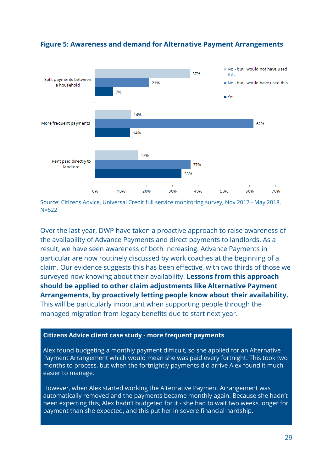

#### **Figure 5: Awareness and demand for Alternative Payment Arrangements**

Source: Citizens Advice, Universal Credit full service monitoring survey, Nov 2017 - May 2018, N=522

Over the last year, DWP have taken a proactive approach to raise awareness of the availability of Advance Payments and direct payments to landlords. As a result, we have seen awareness of both increasing. Advance Payments in particular are now routinely discussed by work coaches at the beginning of a claim. Our evidence suggests this has been effective, with two thirds of those we surveyed now knowing about their availability. **Lessons from this approach should be applied to other claim adjustments like Alternative Payment Arrangements, by proactively letting people know about their availability.** This will be particularly important when supporting people through the managed migration from legacy benefits due to start next year.

#### **Citizens Advice client case study - more frequent payments**

Alex found budgeting a monthly payment difficult, so she applied for an Alternative Payment Arrangement which would mean she was paid every fortnight. This took two months to process, but when the fortnightly payments did arrive Alex found it much easier to manage.

However, when Alex started working the Alternative Payment Arrangement was automatically removed and the payments became monthly again. Because she hadn't been expecting this, Alex hadn't budgeted for it - she had to wait two weeks longer for payment than she expected, and this put her in severe financial hardship.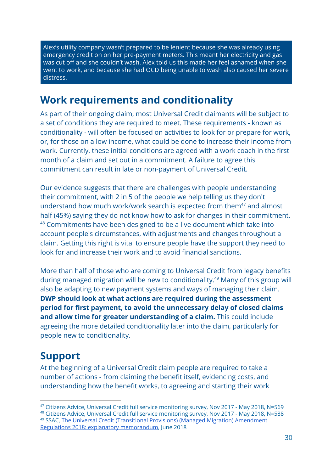Alex's utility company wasn't prepared to be lenient because she was already using emergency credit on on her pre-payment meters. This meant her electricity and gas was cut off and she couldn't wash. Alex told us this made her feel ashamed when she went to work, and because she had OCD being unable to wash also caused her severe distress.

### <span id="page-30-0"></span>**Work requirements and conditionality**

As part of their ongoing claim, most Universal Credit claimants will be subject to a set of conditions they are required to meet. These requirements - known as conditionality - will often be focused on activities to look for or prepare for work, or, for those on a low income, what could be done to increase their income from work. Currently, these initial conditions are agreed with a work coach in the first month of a claim and set out in a commitment. A failure to agree this commitment can result in late or non-payment of Universal Credit.

Our evidence suggests that there are challenges with people understanding their commitment, with 2 in 5 of the people we help telling us they don't understand how much work/work search is expected from them $47$  and almost half (45%) saying they do not know how to ask for changes in their commitment. <sup>48</sup> Commitments have been designed to be a live document which take into account people's circumstances, with adjustments and changes throughout a claim. Getting this right is vital to ensure people have the support they need to look for and increase their work and to avoid financial sanctions.

More than half of those who are coming to Universal Credit from legacy benefits during managed migration will be new to conditionality.<sup>49</sup> Many of this group will also be adapting to new payment systems and ways of managing their claim. **DWP should look at what actions are required during the assessment period for first payment, to avoid the unnecessary delay of closed claims and allow time for greater understanding of a claim.** This could include agreeing the more detailed conditionality later into the claim, particularly for people new to conditionality.

## <span id="page-30-1"></span>**Support**

At the beginning of a Universal Credit claim people are required to take a number of actions - from claiming the benefit itself, evidencing costs, and understanding how the benefit works, to agreeing and starting their work

<sup>47</sup> Citizens Advice, Universal Credit full service monitoring survey, Nov 2017 - May 2018, N=569 <sup>48</sup> Citizens Advice, Universal Credit full service monitoring survey, Nov 2017 - May 2018, N=588

<sup>&</sup>lt;sup>49</sup> SSAC, The Universal Credit (Transitional Provisions) (Managed Migration) [Amendment](https://assets.publishing.service.gov.uk/government/uploads/system/uploads/attachment_data/file/718580/uc-transitional-regs-2018-explanatory-memorandum.pdf) Regulations 2018: explanatory [memorandum,](https://assets.publishing.service.gov.uk/government/uploads/system/uploads/attachment_data/file/718580/uc-transitional-regs-2018-explanatory-memorandum.pdf) June 2018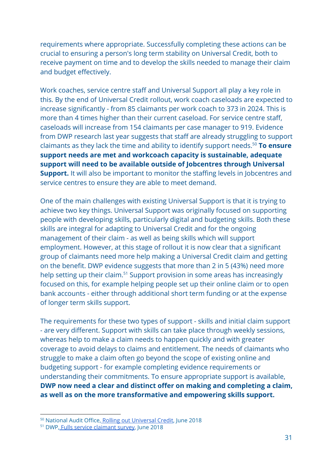requirements where appropriate. Successfully completing these actions can be crucial to ensuring a person's long term stability on Universal Credit, both to receive payment on time and to develop the skills needed to manage their claim and budget effectively.

Work coaches, service centre staff and Universal Support all play a key role in this. By the end of Universal Credit rollout, work coach caseloads are expected to increase significantly - from 85 claimants per work coach to 373 in 2024. This is more than 4 times higher than their current caseload. For service centre staff, caseloads will increase from 154 claimants per case manager to 919. Evidence from DWP research last year suggests that staff are already struggling to support claimants as they lack the time and ability to identify support needs.<sup>50</sup> To ensure **support needs are met and workcoach capacity is sustainable, adequate support will need to be available outside of Jobcentres through Universal Support.** It will also be important to monitor the staffing levels in Jobcentres and service centres to ensure they are able to meet demand.

One of the main challenges with existing Universal Support is that it is trying to achieve two key things. Universal Support was originally focused on supporting people with developing skills, particularly digital and budgeting skills. Both these skills are integral for adapting to Universal Credit and for the ongoing management of their claim - as well as being skills which will support employment. However, at this stage of rollout it is now clear that a significant group of claimants need more help making a Universal Credit claim and getting on the benefit. DWP evidence suggests that more than 2 in 5 (43%) need more help setting up their claim.<sup>51</sup> Support provision in some areas has increasingly focused on this, for example helping people set up their online claim or to open bank accounts - either through additional short term funding or at the expense of longer term skills support.

The requirements for these two types of support - skills and initial claim support - are very different. Support with skills can take place through weekly sessions, whereas help to make a claim needs to happen quickly and with greater coverage to avoid delays to claims and entitlement. The needs of claimants who struggle to make a claim often go beyond the scope of existing online and budgeting support - for example completing evidence requirements or understanding their commitments. To ensure appropriate support is available, **DWP now need a clear and distinct offer on making and completing a claim, as well as on the more transformative and empowering skills support.**

<sup>50</sup> National Audit Office, Rolling out [Universal](https://www.nao.org.uk/report/rolling-out-universal-credit/) Credit, June 2018

<sup>51</sup> DWP, Fulls service [claimant](https://assets.publishing.service.gov.uk/government/uploads/system/uploads/attachment_data/file/714842/universal-credit-full-service-claimant-survey.pdf) survey, June 2018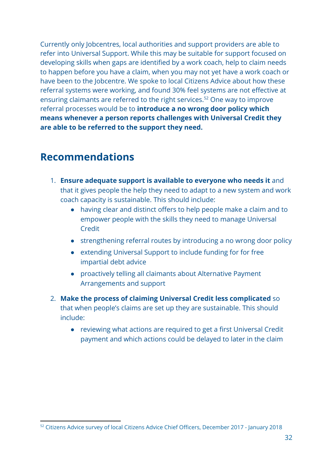Currently only Jobcentres, local authorities and support providers are able to refer into Universal Support. While this may be suitable for support focused on developing skills when gaps are identified by a work coach, help to claim needs to happen before you have a claim, when you may not yet have a work coach or have been to the Jobcentre. We spoke to local Citizens Advice about how these referral systems were working, and found 30% feel systems are not effective at ensuring claimants are referred to the right services.<sup>52</sup> One way to improve referral processes would be to **introduce a no wrong door policy which means whenever a person reports challenges with Universal Credit they are able to be referred to the support they need.**

### <span id="page-32-0"></span>**Recommendations**

- 1. **Ensure adequate support is available to everyone who needs it** and that it gives people the help they need to adapt to a new system and work coach capacity is sustainable. This should include:
	- having clear and distinct offers to help people make a claim and to empower people with the skills they need to manage Universal Credit
	- strengthening referral routes by introducing a no wrong door policy
	- extending Universal Support to include funding for for free impartial debt advice
	- proactively telling all claimants about Alternative Payment Arrangements and support
- 2. **Make the process of claiming Universal Credit less complicated** so that when people's claims are set up they are sustainable. This should include:
	- reviewing what actions are required to get a first Universal Credit payment and which actions could be delayed to later in the claim

<sup>52</sup> Citizens Advice survey of local Citizens Advice Chief Officers, December 2017 - January 2018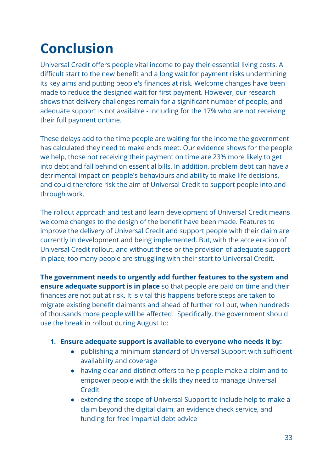## <span id="page-33-0"></span>**Conclusion**

Universal Credit offers people vital income to pay their essential living costs. A difficult start to the new benefit and a long wait for payment risks undermining its key aims and putting people's finances at risk. Welcome changes have been made to reduce the designed wait for first payment. However, our research shows that delivery challenges remain for a significant number of people, and adequate support is not available - including for the 17% who are not receiving their full payment ontime.

These delays add to the time people are waiting for the income the government has calculated they need to make ends meet. Our evidence shows for the people we help, those not receiving their payment on time are 23% more likely to get into debt and fall behind on essential bills. In addition, problem debt can have a detrimental impact on people's behaviours and ability to make life decisions, and could therefore risk the aim of Universal Credit to support people into and through work.

The rollout approach and test and learn development of Universal Credit means welcome changes to the design of the benefit have been made. Features to improve the delivery of Universal Credit and support people with their claim are currently in development and being implemented. But, with the acceleration of Universal Credit rollout, and without these or the provision of adequate support in place, too many people are struggling with their start to Universal Credit.

**The government needs to urgently add further features to the system and ensure adequate support is in place** so that people are paid on time and their finances are not put at risk. It is vital this happens before steps are taken to migrate existing benefit claimants and ahead of further roll out, when hundreds of thousands more people will be affected. Specifically, the government should use the break in rollout during August to:

#### **1. Ensure adequate support is available to everyone who needs it by:**

- publishing a minimum standard of Universal Support with sufficient availability and coverage
- having clear and distinct offers to help people make a claim and to empower people with the skills they need to manage Universal **Credit**
- extending the scope of Universal Support to include help to make a claim beyond the digital claim, an evidence check service, and funding for free impartial debt advice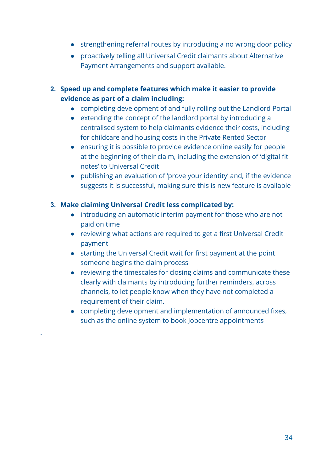- strengthening referral routes by introducing a no wrong door policy
- proactively telling all Universal Credit claimants about Alternative Payment Arrangements and support available.
- **2. Speed up and complete features which make it easier to provide evidence as part of a claim including:**
	- completing development of and fully rolling out the Landlord Portal
	- extending the concept of the landlord portal by introducing a centralised system to help claimants evidence their costs, including for childcare and housing costs in the Private Rented Sector
	- ensuring it is possible to provide evidence online easily for people at the beginning of their claim, including the extension of 'digital fit notes' to Universal Credit
	- publishing an evaluation of 'prove your identity' and, if the evidence suggests it is successful, making sure this is new feature is available

#### **3. Make claiming Universal Credit less complicated by:**

.

- introducing an automatic interim payment for those who are not paid on time
- reviewing what actions are required to get a first Universal Credit payment
- starting the Universal Credit wait for first payment at the point someone begins the claim process
- reviewing the timescales for closing claims and communicate these clearly with claimants by introducing further reminders, across channels, to let people know when they have not completed a requirement of their claim.
- completing development and implementation of announced fixes, such as the online system to book Jobcentre appointments